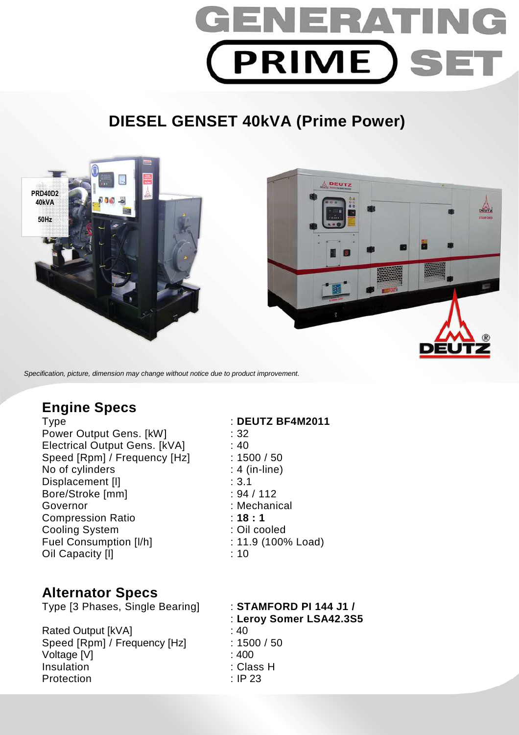

# **DIESEL GENSET 40kVA (Prime Power)**



Specification, picture, dimension may change without notice due to product improvement.

## **Engine Specs**

Power Output Gens. [kW] : 32 Electrical Output Gens. [kVA] : 40 Speed [Rpm] / Frequency [Hz] : 1500 / 50 No of cylinders : 4 (in-line) Displacement [I]  $\qquad \qquad$  : 3.1<br>Bore/Stroke [mm]  $\qquad \qquad$  : 94 / 112 Bore/Stroke [mm] Governor : Mechanical Compression Ratio : **18 : 1**  Cooling System : Cil cooled Fuel Consumption [I/h] : 11.9 (100% Load) Oil Capacity [l] : 10

## **Alternator Specs**

Type [3 Phases, Single Bearing] : **STAMFORD PI 144 J1 /** 

Rated Output [kVA] : 40 Speed [Rpm] / Frequency [Hz] : 1500 / 50 Voltage [V] : 400 Insulation : Class H Protection : IP 23

Type : **DEUTZ BF4M2011** 

- : **Leroy Somer LSA42.3S5**
- 
-